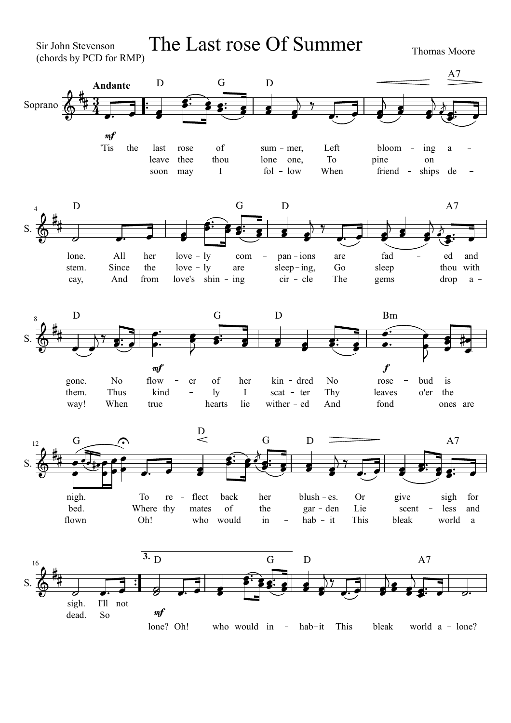Sir John Stevenson (chords by PCD for RMP)

The Last rose Of Summer Thomas Moore